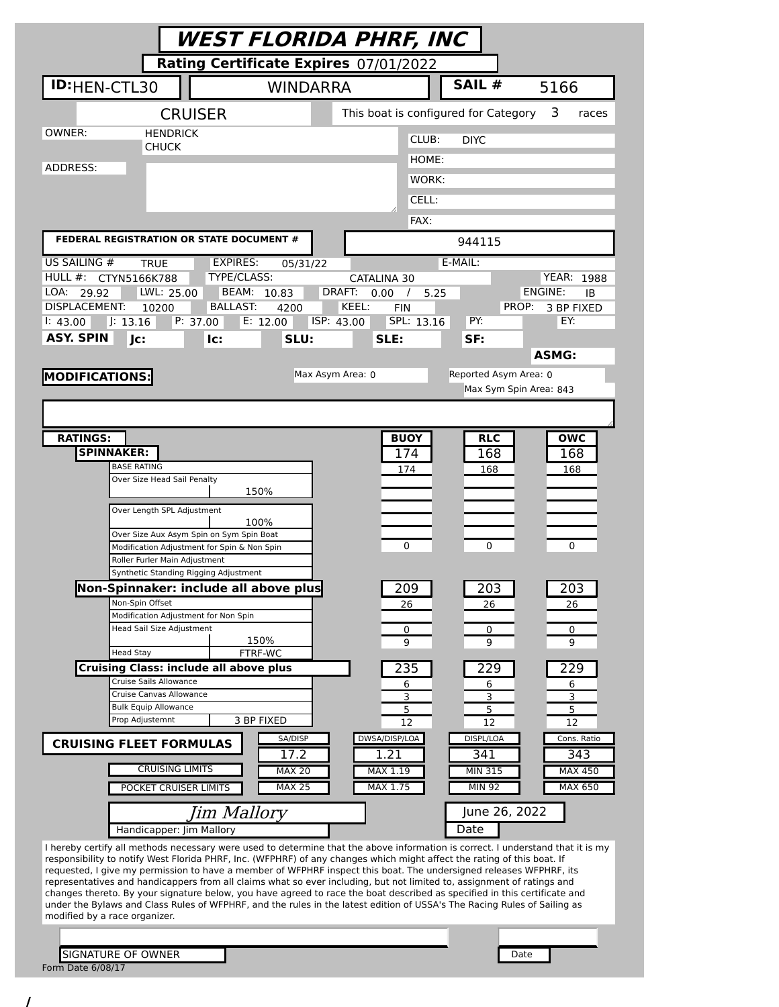| Rating Certificate Expires 07/01/2022<br>SAIL #<br>ID:HEN-CTL30<br><b>WINDARRA</b><br>5166<br>This boat is configured for Category<br><b>CRUISER</b><br>3<br>races<br>OWNER:<br><b>HENDRICK</b><br>CLUB:<br><b>DIYC</b><br><b>CHUCK</b><br>HOME:<br>ADDRESS:<br>WORK:<br>CELL:<br>FAX:<br>FEDERAL REGISTRATION OR STATE DOCUMENT #<br>944115<br><b>EXPIRES:</b><br>E-MAIL:<br><b>TRUE</b><br>05/31/22<br>TYPE/CLASS:<br>HULL $#$ :<br><b>YEAR: 1988</b><br>CTYN5166K788<br>CATALINA 30<br>DRAFT:<br>ENGINE:<br>LOA:<br>LWL: 25.00<br>BEAM: 10.83<br>29.92<br>0.00<br>5.25<br>ΙB<br>$\prime$<br><b>DISPLACEMENT:</b><br>KEEL:<br><b>BALLAST:</b><br><b>FIN</b><br>PROP:<br>10200<br>4200<br>3 BP FIXED<br>J: 13.16<br>P: 37.00<br>ISP: 43.00<br>SPL: 13.16<br>PY:<br>EY:<br>E: 12.00<br>1: 43.00<br><b>ASY. SPIN</b><br>Jc:<br>SLU:<br>SLE:<br>lc:<br>SF:<br><b>ASMG:</b><br>Reported Asym Area: 0<br>Max Asym Area: 0<br>Max Sym Spin Area: 843<br><b>RATINGS:</b><br><b>BUOY</b><br><b>RLC</b><br><b>OWC</b><br><b>SPINNAKER:</b><br>174<br>168<br>168<br><b>BASE RATING</b><br>174<br>168<br>168<br>Over Size Head Sail Penalty<br>150%<br>Over Length SPL Adjustment<br>100%<br>Over Size Aux Asym Spin on Sym Spin Boat<br>0<br>0<br>0<br>Modification Adjustment for Spin & Non Spin<br>Roller Furler Main Adjustment<br>Synthetic Standing Rigging Adjustment<br>Non-Spinnaker: include all above plus<br>209<br>203<br>203<br>Non-Spin Offset<br>26<br>26<br>26<br>Modification Adjustment for Non Spin<br>Head Sail Size Adjustment<br>0<br>0<br>0<br>150%<br>9<br>9<br>9<br>FTRF-WC<br><b>Head Stay</b><br><b>Cruising Class: include all above plus</b><br>235<br>229<br>229<br>Cruise Sails Allowance<br>6<br>6<br>6<br>Cruise Canvas Allowance<br>3<br>3<br>3<br><b>Bulk Equip Allowance</b><br>5<br>5<br>5<br>Prop Adjustemnt<br>3 BP FIXED<br>12<br>12<br>12<br>DWSA/DISP/LOA<br>SA/DISP<br>DISPL/LOA<br>Cons. Ratio<br><b>CRUISING FLEET FORMULAS</b><br>17.2<br>1.21<br>341<br>343<br><b>CRUISING LIMITS</b><br><b>MAX 20</b><br>MAX 1.19<br>MIN 315<br><b>MAX 450</b><br><b>MAX 25</b><br>MAX 1.75<br><b>MIN 92</b><br>MAX 650<br>POCKET CRUISER LIMITS<br>June 26, 2022<br>Jim Mallory<br>Date<br>Handicapper: Jim Mallory<br>I hereby certify all methods necessary were used to determine that the above information is correct. I understand that it is my<br>responsibility to notify West Florida PHRF, Inc. (WFPHRF) of any changes which might affect the rating of this boat. If<br>requested, I give my permission to have a member of WFPHRF inspect this boat. The undersigned releases WFPHRF, its<br>representatives and handicappers from all claims what so ever including, but not limited to, assignment of ratings and<br>changes thereto. By your signature below, you have agreed to race the boat described as specified in this certificate and<br>under the Bylaws and Class Rules of WFPHRF, and the rules in the latest edition of USSA's The Racing Rules of Sailing as<br>modified by a race organizer. |                       | WEST FLORIDA PHRF, INC |  |  |
|------------------------------------------------------------------------------------------------------------------------------------------------------------------------------------------------------------------------------------------------------------------------------------------------------------------------------------------------------------------------------------------------------------------------------------------------------------------------------------------------------------------------------------------------------------------------------------------------------------------------------------------------------------------------------------------------------------------------------------------------------------------------------------------------------------------------------------------------------------------------------------------------------------------------------------------------------------------------------------------------------------------------------------------------------------------------------------------------------------------------------------------------------------------------------------------------------------------------------------------------------------------------------------------------------------------------------------------------------------------------------------------------------------------------------------------------------------------------------------------------------------------------------------------------------------------------------------------------------------------------------------------------------------------------------------------------------------------------------------------------------------------------------------------------------------------------------------------------------------------------------------------------------------------------------------------------------------------------------------------------------------------------------------------------------------------------------------------------------------------------------------------------------------------------------------------------------------------------------------------------------------------------------------------------------------------------------------------------------------------------------------------------------------------------------------------------------------------------------------------------------------------------------------------------------------------------------------------------------------------------------------------------------------------------------------------------------------------------------------------------------------------------------------------------------------------------------------------------------------------------------------------------------------------------------------------------------------------------------------------------------------------------------------------------------|-----------------------|------------------------|--|--|
|                                                                                                                                                                                                                                                                                                                                                                                                                                                                                                                                                                                                                                                                                                                                                                                                                                                                                                                                                                                                                                                                                                                                                                                                                                                                                                                                                                                                                                                                                                                                                                                                                                                                                                                                                                                                                                                                                                                                                                                                                                                                                                                                                                                                                                                                                                                                                                                                                                                                                                                                                                                                                                                                                                                                                                                                                                                                                                                                                                                                                                                      |                       |                        |  |  |
|                                                                                                                                                                                                                                                                                                                                                                                                                                                                                                                                                                                                                                                                                                                                                                                                                                                                                                                                                                                                                                                                                                                                                                                                                                                                                                                                                                                                                                                                                                                                                                                                                                                                                                                                                                                                                                                                                                                                                                                                                                                                                                                                                                                                                                                                                                                                                                                                                                                                                                                                                                                                                                                                                                                                                                                                                                                                                                                                                                                                                                                      |                       |                        |  |  |
|                                                                                                                                                                                                                                                                                                                                                                                                                                                                                                                                                                                                                                                                                                                                                                                                                                                                                                                                                                                                                                                                                                                                                                                                                                                                                                                                                                                                                                                                                                                                                                                                                                                                                                                                                                                                                                                                                                                                                                                                                                                                                                                                                                                                                                                                                                                                                                                                                                                                                                                                                                                                                                                                                                                                                                                                                                                                                                                                                                                                                                                      |                       |                        |  |  |
|                                                                                                                                                                                                                                                                                                                                                                                                                                                                                                                                                                                                                                                                                                                                                                                                                                                                                                                                                                                                                                                                                                                                                                                                                                                                                                                                                                                                                                                                                                                                                                                                                                                                                                                                                                                                                                                                                                                                                                                                                                                                                                                                                                                                                                                                                                                                                                                                                                                                                                                                                                                                                                                                                                                                                                                                                                                                                                                                                                                                                                                      |                       |                        |  |  |
|                                                                                                                                                                                                                                                                                                                                                                                                                                                                                                                                                                                                                                                                                                                                                                                                                                                                                                                                                                                                                                                                                                                                                                                                                                                                                                                                                                                                                                                                                                                                                                                                                                                                                                                                                                                                                                                                                                                                                                                                                                                                                                                                                                                                                                                                                                                                                                                                                                                                                                                                                                                                                                                                                                                                                                                                                                                                                                                                                                                                                                                      |                       |                        |  |  |
|                                                                                                                                                                                                                                                                                                                                                                                                                                                                                                                                                                                                                                                                                                                                                                                                                                                                                                                                                                                                                                                                                                                                                                                                                                                                                                                                                                                                                                                                                                                                                                                                                                                                                                                                                                                                                                                                                                                                                                                                                                                                                                                                                                                                                                                                                                                                                                                                                                                                                                                                                                                                                                                                                                                                                                                                                                                                                                                                                                                                                                                      |                       |                        |  |  |
|                                                                                                                                                                                                                                                                                                                                                                                                                                                                                                                                                                                                                                                                                                                                                                                                                                                                                                                                                                                                                                                                                                                                                                                                                                                                                                                                                                                                                                                                                                                                                                                                                                                                                                                                                                                                                                                                                                                                                                                                                                                                                                                                                                                                                                                                                                                                                                                                                                                                                                                                                                                                                                                                                                                                                                                                                                                                                                                                                                                                                                                      |                       |                        |  |  |
|                                                                                                                                                                                                                                                                                                                                                                                                                                                                                                                                                                                                                                                                                                                                                                                                                                                                                                                                                                                                                                                                                                                                                                                                                                                                                                                                                                                                                                                                                                                                                                                                                                                                                                                                                                                                                                                                                                                                                                                                                                                                                                                                                                                                                                                                                                                                                                                                                                                                                                                                                                                                                                                                                                                                                                                                                                                                                                                                                                                                                                                      |                       |                        |  |  |
|                                                                                                                                                                                                                                                                                                                                                                                                                                                                                                                                                                                                                                                                                                                                                                                                                                                                                                                                                                                                                                                                                                                                                                                                                                                                                                                                                                                                                                                                                                                                                                                                                                                                                                                                                                                                                                                                                                                                                                                                                                                                                                                                                                                                                                                                                                                                                                                                                                                                                                                                                                                                                                                                                                                                                                                                                                                                                                                                                                                                                                                      |                       |                        |  |  |
|                                                                                                                                                                                                                                                                                                                                                                                                                                                                                                                                                                                                                                                                                                                                                                                                                                                                                                                                                                                                                                                                                                                                                                                                                                                                                                                                                                                                                                                                                                                                                                                                                                                                                                                                                                                                                                                                                                                                                                                                                                                                                                                                                                                                                                                                                                                                                                                                                                                                                                                                                                                                                                                                                                                                                                                                                                                                                                                                                                                                                                                      | US SAILING #          |                        |  |  |
|                                                                                                                                                                                                                                                                                                                                                                                                                                                                                                                                                                                                                                                                                                                                                                                                                                                                                                                                                                                                                                                                                                                                                                                                                                                                                                                                                                                                                                                                                                                                                                                                                                                                                                                                                                                                                                                                                                                                                                                                                                                                                                                                                                                                                                                                                                                                                                                                                                                                                                                                                                                                                                                                                                                                                                                                                                                                                                                                                                                                                                                      |                       |                        |  |  |
|                                                                                                                                                                                                                                                                                                                                                                                                                                                                                                                                                                                                                                                                                                                                                                                                                                                                                                                                                                                                                                                                                                                                                                                                                                                                                                                                                                                                                                                                                                                                                                                                                                                                                                                                                                                                                                                                                                                                                                                                                                                                                                                                                                                                                                                                                                                                                                                                                                                                                                                                                                                                                                                                                                                                                                                                                                                                                                                                                                                                                                                      |                       |                        |  |  |
|                                                                                                                                                                                                                                                                                                                                                                                                                                                                                                                                                                                                                                                                                                                                                                                                                                                                                                                                                                                                                                                                                                                                                                                                                                                                                                                                                                                                                                                                                                                                                                                                                                                                                                                                                                                                                                                                                                                                                                                                                                                                                                                                                                                                                                                                                                                                                                                                                                                                                                                                                                                                                                                                                                                                                                                                                                                                                                                                                                                                                                                      |                       |                        |  |  |
|                                                                                                                                                                                                                                                                                                                                                                                                                                                                                                                                                                                                                                                                                                                                                                                                                                                                                                                                                                                                                                                                                                                                                                                                                                                                                                                                                                                                                                                                                                                                                                                                                                                                                                                                                                                                                                                                                                                                                                                                                                                                                                                                                                                                                                                                                                                                                                                                                                                                                                                                                                                                                                                                                                                                                                                                                                                                                                                                                                                                                                                      |                       |                        |  |  |
|                                                                                                                                                                                                                                                                                                                                                                                                                                                                                                                                                                                                                                                                                                                                                                                                                                                                                                                                                                                                                                                                                                                                                                                                                                                                                                                                                                                                                                                                                                                                                                                                                                                                                                                                                                                                                                                                                                                                                                                                                                                                                                                                                                                                                                                                                                                                                                                                                                                                                                                                                                                                                                                                                                                                                                                                                                                                                                                                                                                                                                                      | <b>MODIFICATIONS:</b> |                        |  |  |
|                                                                                                                                                                                                                                                                                                                                                                                                                                                                                                                                                                                                                                                                                                                                                                                                                                                                                                                                                                                                                                                                                                                                                                                                                                                                                                                                                                                                                                                                                                                                                                                                                                                                                                                                                                                                                                                                                                                                                                                                                                                                                                                                                                                                                                                                                                                                                                                                                                                                                                                                                                                                                                                                                                                                                                                                                                                                                                                                                                                                                                                      |                       |                        |  |  |
|                                                                                                                                                                                                                                                                                                                                                                                                                                                                                                                                                                                                                                                                                                                                                                                                                                                                                                                                                                                                                                                                                                                                                                                                                                                                                                                                                                                                                                                                                                                                                                                                                                                                                                                                                                                                                                                                                                                                                                                                                                                                                                                                                                                                                                                                                                                                                                                                                                                                                                                                                                                                                                                                                                                                                                                                                                                                                                                                                                                                                                                      |                       |                        |  |  |
|                                                                                                                                                                                                                                                                                                                                                                                                                                                                                                                                                                                                                                                                                                                                                                                                                                                                                                                                                                                                                                                                                                                                                                                                                                                                                                                                                                                                                                                                                                                                                                                                                                                                                                                                                                                                                                                                                                                                                                                                                                                                                                                                                                                                                                                                                                                                                                                                                                                                                                                                                                                                                                                                                                                                                                                                                                                                                                                                                                                                                                                      |                       |                        |  |  |
|                                                                                                                                                                                                                                                                                                                                                                                                                                                                                                                                                                                                                                                                                                                                                                                                                                                                                                                                                                                                                                                                                                                                                                                                                                                                                                                                                                                                                                                                                                                                                                                                                                                                                                                                                                                                                                                                                                                                                                                                                                                                                                                                                                                                                                                                                                                                                                                                                                                                                                                                                                                                                                                                                                                                                                                                                                                                                                                                                                                                                                                      |                       |                        |  |  |
|                                                                                                                                                                                                                                                                                                                                                                                                                                                                                                                                                                                                                                                                                                                                                                                                                                                                                                                                                                                                                                                                                                                                                                                                                                                                                                                                                                                                                                                                                                                                                                                                                                                                                                                                                                                                                                                                                                                                                                                                                                                                                                                                                                                                                                                                                                                                                                                                                                                                                                                                                                                                                                                                                                                                                                                                                                                                                                                                                                                                                                                      |                       |                        |  |  |
|                                                                                                                                                                                                                                                                                                                                                                                                                                                                                                                                                                                                                                                                                                                                                                                                                                                                                                                                                                                                                                                                                                                                                                                                                                                                                                                                                                                                                                                                                                                                                                                                                                                                                                                                                                                                                                                                                                                                                                                                                                                                                                                                                                                                                                                                                                                                                                                                                                                                                                                                                                                                                                                                                                                                                                                                                                                                                                                                                                                                                                                      |                       |                        |  |  |
|                                                                                                                                                                                                                                                                                                                                                                                                                                                                                                                                                                                                                                                                                                                                                                                                                                                                                                                                                                                                                                                                                                                                                                                                                                                                                                                                                                                                                                                                                                                                                                                                                                                                                                                                                                                                                                                                                                                                                                                                                                                                                                                                                                                                                                                                                                                                                                                                                                                                                                                                                                                                                                                                                                                                                                                                                                                                                                                                                                                                                                                      |                       |                        |  |  |
|                                                                                                                                                                                                                                                                                                                                                                                                                                                                                                                                                                                                                                                                                                                                                                                                                                                                                                                                                                                                                                                                                                                                                                                                                                                                                                                                                                                                                                                                                                                                                                                                                                                                                                                                                                                                                                                                                                                                                                                                                                                                                                                                                                                                                                                                                                                                                                                                                                                                                                                                                                                                                                                                                                                                                                                                                                                                                                                                                                                                                                                      |                       |                        |  |  |
|                                                                                                                                                                                                                                                                                                                                                                                                                                                                                                                                                                                                                                                                                                                                                                                                                                                                                                                                                                                                                                                                                                                                                                                                                                                                                                                                                                                                                                                                                                                                                                                                                                                                                                                                                                                                                                                                                                                                                                                                                                                                                                                                                                                                                                                                                                                                                                                                                                                                                                                                                                                                                                                                                                                                                                                                                                                                                                                                                                                                                                                      |                       |                        |  |  |
|                                                                                                                                                                                                                                                                                                                                                                                                                                                                                                                                                                                                                                                                                                                                                                                                                                                                                                                                                                                                                                                                                                                                                                                                                                                                                                                                                                                                                                                                                                                                                                                                                                                                                                                                                                                                                                                                                                                                                                                                                                                                                                                                                                                                                                                                                                                                                                                                                                                                                                                                                                                                                                                                                                                                                                                                                                                                                                                                                                                                                                                      |                       |                        |  |  |
|                                                                                                                                                                                                                                                                                                                                                                                                                                                                                                                                                                                                                                                                                                                                                                                                                                                                                                                                                                                                                                                                                                                                                                                                                                                                                                                                                                                                                                                                                                                                                                                                                                                                                                                                                                                                                                                                                                                                                                                                                                                                                                                                                                                                                                                                                                                                                                                                                                                                                                                                                                                                                                                                                                                                                                                                                                                                                                                                                                                                                                                      |                       |                        |  |  |
|                                                                                                                                                                                                                                                                                                                                                                                                                                                                                                                                                                                                                                                                                                                                                                                                                                                                                                                                                                                                                                                                                                                                                                                                                                                                                                                                                                                                                                                                                                                                                                                                                                                                                                                                                                                                                                                                                                                                                                                                                                                                                                                                                                                                                                                                                                                                                                                                                                                                                                                                                                                                                                                                                                                                                                                                                                                                                                                                                                                                                                                      |                       |                        |  |  |
|                                                                                                                                                                                                                                                                                                                                                                                                                                                                                                                                                                                                                                                                                                                                                                                                                                                                                                                                                                                                                                                                                                                                                                                                                                                                                                                                                                                                                                                                                                                                                                                                                                                                                                                                                                                                                                                                                                                                                                                                                                                                                                                                                                                                                                                                                                                                                                                                                                                                                                                                                                                                                                                                                                                                                                                                                                                                                                                                                                                                                                                      |                       |                        |  |  |
|                                                                                                                                                                                                                                                                                                                                                                                                                                                                                                                                                                                                                                                                                                                                                                                                                                                                                                                                                                                                                                                                                                                                                                                                                                                                                                                                                                                                                                                                                                                                                                                                                                                                                                                                                                                                                                                                                                                                                                                                                                                                                                                                                                                                                                                                                                                                                                                                                                                                                                                                                                                                                                                                                                                                                                                                                                                                                                                                                                                                                                                      |                       |                        |  |  |
|                                                                                                                                                                                                                                                                                                                                                                                                                                                                                                                                                                                                                                                                                                                                                                                                                                                                                                                                                                                                                                                                                                                                                                                                                                                                                                                                                                                                                                                                                                                                                                                                                                                                                                                                                                                                                                                                                                                                                                                                                                                                                                                                                                                                                                                                                                                                                                                                                                                                                                                                                                                                                                                                                                                                                                                                                                                                                                                                                                                                                                                      |                       |                        |  |  |
|                                                                                                                                                                                                                                                                                                                                                                                                                                                                                                                                                                                                                                                                                                                                                                                                                                                                                                                                                                                                                                                                                                                                                                                                                                                                                                                                                                                                                                                                                                                                                                                                                                                                                                                                                                                                                                                                                                                                                                                                                                                                                                                                                                                                                                                                                                                                                                                                                                                                                                                                                                                                                                                                                                                                                                                                                                                                                                                                                                                                                                                      |                       |                        |  |  |
|                                                                                                                                                                                                                                                                                                                                                                                                                                                                                                                                                                                                                                                                                                                                                                                                                                                                                                                                                                                                                                                                                                                                                                                                                                                                                                                                                                                                                                                                                                                                                                                                                                                                                                                                                                                                                                                                                                                                                                                                                                                                                                                                                                                                                                                                                                                                                                                                                                                                                                                                                                                                                                                                                                                                                                                                                                                                                                                                                                                                                                                      |                       |                        |  |  |
|                                                                                                                                                                                                                                                                                                                                                                                                                                                                                                                                                                                                                                                                                                                                                                                                                                                                                                                                                                                                                                                                                                                                                                                                                                                                                                                                                                                                                                                                                                                                                                                                                                                                                                                                                                                                                                                                                                                                                                                                                                                                                                                                                                                                                                                                                                                                                                                                                                                                                                                                                                                                                                                                                                                                                                                                                                                                                                                                                                                                                                                      |                       |                        |  |  |
|                                                                                                                                                                                                                                                                                                                                                                                                                                                                                                                                                                                                                                                                                                                                                                                                                                                                                                                                                                                                                                                                                                                                                                                                                                                                                                                                                                                                                                                                                                                                                                                                                                                                                                                                                                                                                                                                                                                                                                                                                                                                                                                                                                                                                                                                                                                                                                                                                                                                                                                                                                                                                                                                                                                                                                                                                                                                                                                                                                                                                                                      |                       |                        |  |  |
|                                                                                                                                                                                                                                                                                                                                                                                                                                                                                                                                                                                                                                                                                                                                                                                                                                                                                                                                                                                                                                                                                                                                                                                                                                                                                                                                                                                                                                                                                                                                                                                                                                                                                                                                                                                                                                                                                                                                                                                                                                                                                                                                                                                                                                                                                                                                                                                                                                                                                                                                                                                                                                                                                                                                                                                                                                                                                                                                                                                                                                                      |                       |                        |  |  |
|                                                                                                                                                                                                                                                                                                                                                                                                                                                                                                                                                                                                                                                                                                                                                                                                                                                                                                                                                                                                                                                                                                                                                                                                                                                                                                                                                                                                                                                                                                                                                                                                                                                                                                                                                                                                                                                                                                                                                                                                                                                                                                                                                                                                                                                                                                                                                                                                                                                                                                                                                                                                                                                                                                                                                                                                                                                                                                                                                                                                                                                      |                       |                        |  |  |
|                                                                                                                                                                                                                                                                                                                                                                                                                                                                                                                                                                                                                                                                                                                                                                                                                                                                                                                                                                                                                                                                                                                                                                                                                                                                                                                                                                                                                                                                                                                                                                                                                                                                                                                                                                                                                                                                                                                                                                                                                                                                                                                                                                                                                                                                                                                                                                                                                                                                                                                                                                                                                                                                                                                                                                                                                                                                                                                                                                                                                                                      |                       |                        |  |  |
|                                                                                                                                                                                                                                                                                                                                                                                                                                                                                                                                                                                                                                                                                                                                                                                                                                                                                                                                                                                                                                                                                                                                                                                                                                                                                                                                                                                                                                                                                                                                                                                                                                                                                                                                                                                                                                                                                                                                                                                                                                                                                                                                                                                                                                                                                                                                                                                                                                                                                                                                                                                                                                                                                                                                                                                                                                                                                                                                                                                                                                                      |                       |                        |  |  |
|                                                                                                                                                                                                                                                                                                                                                                                                                                                                                                                                                                                                                                                                                                                                                                                                                                                                                                                                                                                                                                                                                                                                                                                                                                                                                                                                                                                                                                                                                                                                                                                                                                                                                                                                                                                                                                                                                                                                                                                                                                                                                                                                                                                                                                                                                                                                                                                                                                                                                                                                                                                                                                                                                                                                                                                                                                                                                                                                                                                                                                                      |                       |                        |  |  |
|                                                                                                                                                                                                                                                                                                                                                                                                                                                                                                                                                                                                                                                                                                                                                                                                                                                                                                                                                                                                                                                                                                                                                                                                                                                                                                                                                                                                                                                                                                                                                                                                                                                                                                                                                                                                                                                                                                                                                                                                                                                                                                                                                                                                                                                                                                                                                                                                                                                                                                                                                                                                                                                                                                                                                                                                                                                                                                                                                                                                                                                      |                       |                        |  |  |
|                                                                                                                                                                                                                                                                                                                                                                                                                                                                                                                                                                                                                                                                                                                                                                                                                                                                                                                                                                                                                                                                                                                                                                                                                                                                                                                                                                                                                                                                                                                                                                                                                                                                                                                                                                                                                                                                                                                                                                                                                                                                                                                                                                                                                                                                                                                                                                                                                                                                                                                                                                                                                                                                                                                                                                                                                                                                                                                                                                                                                                                      |                       |                        |  |  |
| SIGNATURE OF OWNER<br>Date                                                                                                                                                                                                                                                                                                                                                                                                                                                                                                                                                                                                                                                                                                                                                                                                                                                                                                                                                                                                                                                                                                                                                                                                                                                                                                                                                                                                                                                                                                                                                                                                                                                                                                                                                                                                                                                                                                                                                                                                                                                                                                                                                                                                                                                                                                                                                                                                                                                                                                                                                                                                                                                                                                                                                                                                                                                                                                                                                                                                                           | Form Date 6/08/17     |                        |  |  |

/